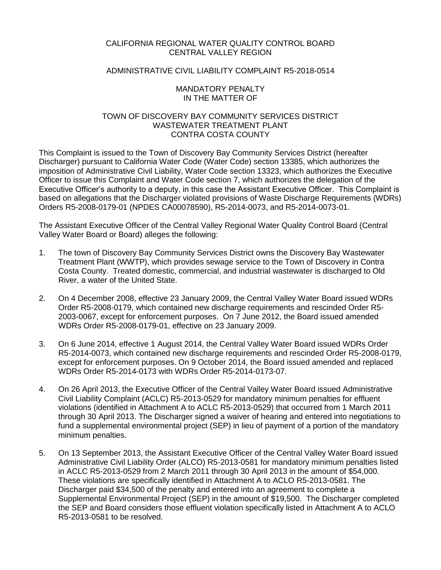## CALIFORNIA REGIONAL WATER QUALITY CONTROL BOARD CENTRAL VALLEY REGION

# ADMINISTRATIVE CIVIL LIABILITY COMPLAINT R5-2018-0514

## MANDATORY PENALTY IN THE MATTER OF

## TOWN OF DISCOVERY BAY COMMUNITY SERVICES DISTRICT WASTEWATER TREATMENT PLANT CONTRA COSTA COUNTY

This Complaint is issued to the Town of Discovery Bay Community Services District (hereafter Discharger) pursuant to California Water Code (Water Code) section 13385, which authorizes the imposition of Administrative Civil Liability, Water Code section 13323, which authorizes the Executive Officer to issue this Complaint and Water Code section 7, which authorizes the delegation of the Executive Officer's authority to a deputy, in this case the Assistant Executive Officer. This Complaint is based on allegations that the Discharger violated provisions of Waste Discharge Requirements (WDRs) Orders R5-2008-0179-01 (NPDES CA00078590), R5-2014-0073, and R5-2014-0073-01.

The Assistant Executive Officer of the Central Valley Regional Water Quality Control Board (Central Valley Water Board or Board) alleges the following:

- 1. The town of Discovery Bay Community Services District owns the Discovery Bay Wastewater Treatment Plant (WWTP), which provides sewage service to the Town of Discovery in Contra Costa County. Treated domestic, commercial, and industrial wastewater is discharged to Old River, a water of the United State.
- 2. On 4 December 2008, effective 23 January 2009, the Central Valley Water Board issued WDRs Order R5-2008-0179, which contained new discharge requirements and rescinded Order R5- 2003-0067, except for enforcement purposes. On 7 June 2012, the Board issued amended WDRs Order R5-2008-0179-01, effective on 23 January 2009.
- 3. On 6 June 2014, effective 1 August 2014, the Central Valley Water Board issued WDRs Order R5-2014-0073, which contained new discharge requirements and rescinded Order R5-2008-0179, except for enforcement purposes. On 9 October 2014, the Board issued amended and replaced WDRs Order R5-2014-0173 with WDRs Order R5-2014-0173-07.
- 4. On 26 April 2013, the Executive Officer of the Central Valley Water Board issued Administrative Civil Liability Complaint (ACLC) R5-2013-0529 for mandatory minimum penalties for effluent violations (identified in Attachment A to ACLC R5-2013-0529) that occurred from 1 March 2011 through 30 April 2013. The Discharger signed a waiver of hearing and entered into negotiations to fund a supplemental environmental project (SEP) in lieu of payment of a portion of the mandatory minimum penalties.
- 5. On 13 September 2013, the Assistant Executive Officer of the Central Valley Water Board issued Administrative Civil Liability Order (ALCO) R5-2013-0581 for mandatory minimum penalties listed in ACLC R5-2013-0529 from 2 March 2011 through 30 April 2013 in the amount of \$54,000. These violations are specifically identified in Attachment A to ACLO R5-2013-0581. The Discharger paid \$34,500 of the penalty and entered into an agreement to complete a Supplemental Environmental Project (SEP) in the amount of \$19,500. The Discharger completed the SEP and Board considers those effluent violation specifically listed in Attachment A to ACLO R5-2013-0581 to be resolved.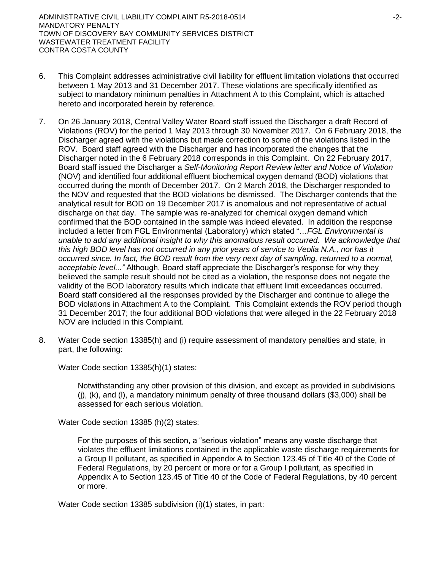- 6. This Complaint addresses administrative civil liability for effluent limitation violations that occurred between 1 May 2013 and 31 December 2017. These violations are specifically identified as subject to mandatory minimum penalties in Attachment A to this Complaint, which is attached hereto and incorporated herein by reference.
- 7. On 26 January 2018, Central Valley Water Board staff issued the Discharger a draft Record of Violations (ROV) for the period 1 May 2013 through 30 November 2017. On 6 February 2018, the Discharger agreed with the violations but made correction to some of the violations listed in the ROV. Board staff agreed with the Discharger and has incorporated the changes that the Discharger noted in the 6 February 2018 corresponds in this Complaint. On 22 February 2017, Board staff issued the Discharger a *Self-Monitoring Report Review letter and Notice of Violation*  (NOV) and identified four additional effluent biochemical oxygen demand (BOD) violations that occurred during the month of December 2017. On 2 March 2018, the Discharger responded to the NOV and requested that the BOD violations be dismissed. The Discharger contends that the analytical result for BOD on 19 December 2017 is anomalous and not representative of actual discharge on that day. The sample was re-analyzed for chemical oxygen demand which confirmed that the BOD contained in the sample was indeed elevated. In addition the response included a letter from FGL Environmental (Laboratory) which stated "…*FGL Environmental is unable to add any additional insight to why this anomalous result occurred. We acknowledge that this high BOD level has not occurred in any prior years of service to Veolia N.A., nor has it occurred since. In fact, the BOD result from the very next day of sampling, returned to a normal, acceptable level..."* Although, Board staff appreciate the Discharger's response for why they believed the sample result should not be cited as a violation, the response does not negate the validity of the BOD laboratory results which indicate that effluent limit exceedances occurred. Board staff considered all the responses provided by the Discharger and continue to allege the BOD violations in Attachment A to the Complaint. This Complaint extends the ROV period though 31 December 2017; the four additional BOD violations that were alleged in the 22 February 2018 NOV are included in this Complaint.
- 8. Water Code section 13385(h) and (i) require assessment of mandatory penalties and state, in part, the following:

Water Code section 13385(h)(1) states:

Notwithstanding any other provision of this division, and except as provided in subdivisions  $(i)$ ,  $(k)$ , and  $(l)$ , a mandatory minimum penalty of three thousand dollars (\$3,000) shall be assessed for each serious violation.

Water Code section 13385 (h)(2) states:

For the purposes of this section, a "serious violation" means any waste discharge that violates the effluent limitations contained in the applicable waste discharge requirements for a Group II pollutant, as specified in Appendix A to Section 123.45 of Title 40 of the Code of Federal Regulations, by 20 percent or more or for a Group I pollutant, as specified in Appendix A to Section 123.45 of Title 40 of the Code of Federal Regulations, by 40 percent or more.

Water Code section 13385 subdivision (i)(1) states, in part: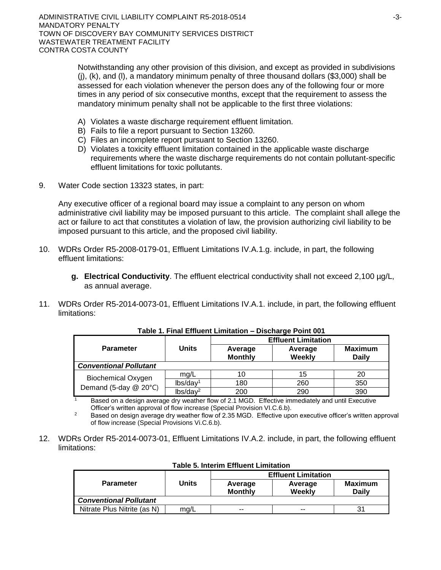Notwithstanding any other provision of this division, and except as provided in subdivisions (j), (k), and (l), a mandatory minimum penalty of three thousand dollars (\$3,000) shall be assessed for each violation whenever the person does any of the following four or more times in any period of six consecutive months, except that the requirement to assess the mandatory minimum penalty shall not be applicable to the first three violations:

- A) Violates a waste discharge requirement effluent limitation.
- B) Fails to file a report pursuant to Section 13260.
- C) Files an incomplete report pursuant to Section 13260.
- D) Violates a toxicity effluent limitation contained in the applicable waste discharge requirements where the waste discharge requirements do not contain pollutant-specific effluent limitations for toxic pollutants.
- 9. Water Code section 13323 states, in part:

Any executive officer of a regional board may issue a complaint to any person on whom administrative civil liability may be imposed pursuant to this article. The complaint shall allege the act or failure to act that constitutes a violation of law, the provision authorizing civil liability to be imposed pursuant to this article, and the proposed civil liability.

- 10. WDRs Order R5-2008-0179-01, Effluent Limitations IV.A.1.g. include, in part, the following effluent limitations:
	- **g. Electrical Conductivity**. The effluent electrical conductivity shall not exceed 2,100 µg/L, as annual average.
- 11. WDRs Order R5-2014-0073-01, Effluent Limitations IV.A.1. include, in part, the following effluent limitations:

|                               |                      | <b>Effluent Limitation</b> |                   |                         |  |  |
|-------------------------------|----------------------|----------------------------|-------------------|-------------------------|--|--|
| <b>Parameter</b>              | <b>Units</b>         | Average<br><b>Monthly</b>  | Average<br>Weekly | <b>Maximum</b><br>Daily |  |  |
| <b>Conventional Pollutant</b> |                      |                            |                   |                         |  |  |
| <b>Biochemical Oxygen</b>     | mq/L                 | 10                         | 15                | 20                      |  |  |
|                               | lbs/day <sup>1</sup> | 180                        | 260               | 350                     |  |  |
| Demand (5-day @ 20°C)         | lbs/day <sup>2</sup> | 200                        | 290               | 390                     |  |  |

**Table 1. Final Effluent Limitation – Discharge Point 001**

 $1 -$ Based on a design average dry weather flow of 2.1 MGD. Effective immediately and until Executive Officer's written approval of flow increase (Special Provision VI.C.6.b).

<sup>2</sup> Based on design average dry weather flow of 2.35 MGD. Effective upon executive officer's written approval of flow increase (Special Provisions Vi.C.6.b).

12. WDRs Order R5-2014-0073-01, Effluent Limitations IV.A.2. include, in part, the following effluent limitations:

|                               |       | <b>Effluent Limitation</b> |                   |                         |  |  |
|-------------------------------|-------|----------------------------|-------------------|-------------------------|--|--|
| <b>Parameter</b>              | Units | Average<br><b>Monthly</b>  | Average<br>Weekly | <b>Maximum</b><br>Dailv |  |  |
| <b>Conventional Pollutant</b> |       |                            |                   |                         |  |  |
| Nitrate Plus Nitrite (as N)   | ma/L  | --                         | --                | 31                      |  |  |
|                               |       |                            |                   |                         |  |  |

| <b>Table 5. Interim Effluent Limitation</b> |  |  |  |  |
|---------------------------------------------|--|--|--|--|
|---------------------------------------------|--|--|--|--|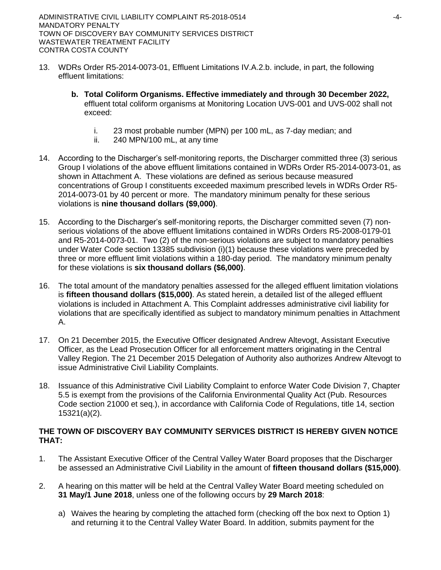- 13. WDRs Order R5-2014-0073-01, Effluent Limitations IV.A.2.b. include, in part, the following effluent limitations:
	- **b. Total Coliform Organisms. Effective immediately and through 30 December 2022,** effluent total coliform organisms at Monitoring Location UVS-001 and UVS-002 shall not exceed:
		- i. 23 most probable number (MPN) per 100 mL, as 7-day median; and
		- ii. 240 MPN/100 mL, at any time
- 14. According to the Discharger's self-monitoring reports, the Discharger committed three (3) serious Group I violations of the above effluent limitations contained in WDRs Order R5-2014-0073-01, as shown in Attachment A. These violations are defined as serious because measured concentrations of Group I constituents exceeded maximum prescribed levels in WDRs Order R5- 2014-0073-01 by 40 percent or more. The mandatory minimum penalty for these serious violations is **nine thousand dollars (\$9,000)**.
- 15. According to the Discharger's self-monitoring reports, the Discharger committed seven (7) nonserious violations of the above effluent limitations contained in WDRs Orders R5-2008-0179-01 and R5-2014-0073-01. Two (2) of the non-serious violations are subject to mandatory penalties under Water Code section 13385 subdivision (i)(1) because these violations were preceded by three or more effluent limit violations within a 180-day period. The mandatory minimum penalty for these violations is **six thousand dollars (\$6,000)**.
- 16. The total amount of the mandatory penalties assessed for the alleged effluent limitation violations is **fifteen thousand dollars (\$15,000)**. As stated herein, a detailed list of the alleged effluent violations is included in Attachment A. This Complaint addresses administrative civil liability for violations that are specifically identified as subject to mandatory minimum penalties in Attachment A.
- 17. On 21 December 2015, the Executive Officer designated Andrew Altevogt, Assistant Executive Officer, as the Lead Prosecution Officer for all enforcement matters originating in the Central Valley Region. The 21 December 2015 Delegation of Authority also authorizes Andrew Altevogt to issue Administrative Civil Liability Complaints.
- 18. Issuance of this Administrative Civil Liability Complaint to enforce Water Code Division 7, Chapter 5.5 is exempt from the provisions of the California Environmental Quality Act (Pub. Resources Code section 21000 et seq.), in accordance with California Code of Regulations, title 14, section 15321(a)(2).

# **THE TOWN OF DISCOVERY BAY COMMUNITY SERVICES DISTRICT IS HEREBY GIVEN NOTICE THAT:**

- 1. The Assistant Executive Officer of the Central Valley Water Board proposes that the Discharger be assessed an Administrative Civil Liability in the amount of **fifteen thousand dollars (\$15,000)**.
- 2. A hearing on this matter will be held at the Central Valley Water Board meeting scheduled on **31 May/1 June 2018**, unless one of the following occurs by **29 March 2018**:
	- a) Waives the hearing by completing the attached form (checking off the box next to Option 1) and returning it to the Central Valley Water Board. In addition, submits payment for the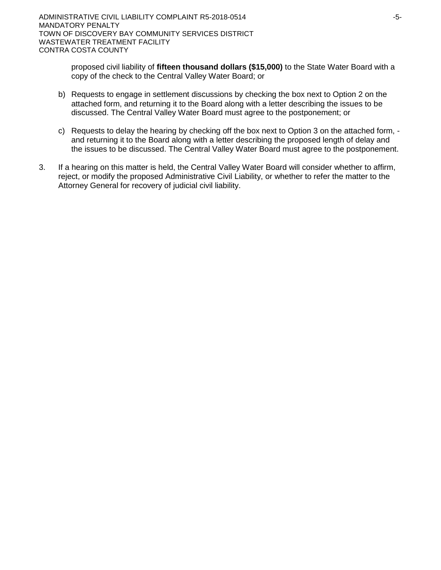proposed civil liability of **fifteen thousand dollars (\$15,000)** to the State Water Board with a copy of the check to the Central Valley Water Board; or

- b) Requests to engage in settlement discussions by checking the box next to Option 2 on the attached form, and returning it to the Board along with a letter describing the issues to be discussed. The Central Valley Water Board must agree to the postponement; or
- c) Requests to delay the hearing by checking off the box next to Option 3 on the attached form, and returning it to the Board along with a letter describing the proposed length of delay and the issues to be discussed. The Central Valley Water Board must agree to the postponement.
- 3. If a hearing on this matter is held, the Central Valley Water Board will consider whether to affirm, reject, or modify the proposed Administrative Civil Liability, or whether to refer the matter to the Attorney General for recovery of judicial civil liability.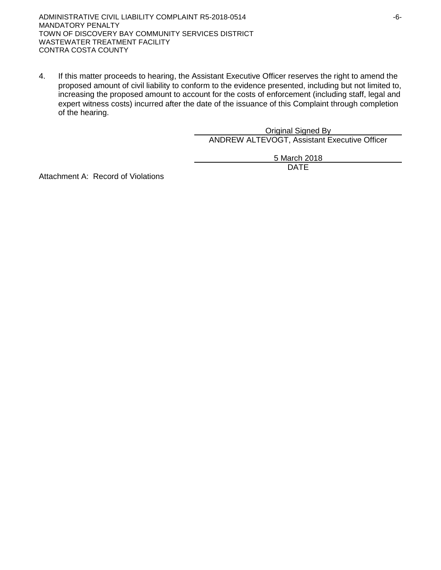ADMINISTRATIVE CIVIL LIABILITY COMPLAINT R5-2018-0514 F6-MANDATORY PENALTY TOWN OF DISCOVERY BAY COMMUNITY SERVICES DISTRICT WASTEWATER TREATMENT FACILITY CONTRA COSTA COUNTY

4. If this matter proceeds to hearing, the Assistant Executive Officer reserves the right to amend the proposed amount of civil liability to conform to the evidence presented, including but not limited to, increasing the proposed amount to account for the costs of enforcement (including staff, legal and expert witness costs) incurred after the date of the issuance of this Complaint through completion of the hearing.

> Original Signed By ANDREW ALTEVOGT, Assistant Executive Officer

> > 5 March 2018 DATE

Attachment A: Record of Violations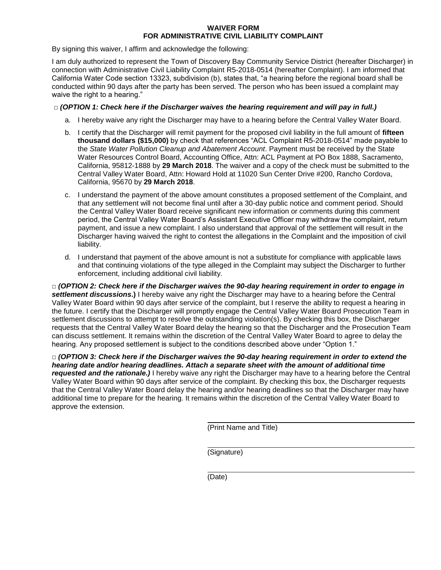## **WAIVER FORM FOR ADMINISTRATIVE CIVIL LIABILITY COMPLAINT**

By signing this waiver, I affirm and acknowledge the following:

I am duly authorized to represent the Town of Discovery Bay Community Service District (hereafter Discharger) in connection with Administrative Civil Liability Complaint R5-2018-0514 (hereafter Complaint). I am informed that California Water Code section 13323, subdivision (b), states that, "a hearing before the regional board shall be conducted within 90 days after the party has been served. The person who has been issued a complaint may waive the right to a hearing."

## **□** *(OPTION 1: Check here if the Discharger waives the hearing requirement and will pay in full.)*

- a. I hereby waive any right the Discharger may have to a hearing before the Central Valley Water Board.
- b. I certify that the Discharger will remit payment for the proposed civil liability in the full amount of **fifteen thousand dollars (\$15,000)** by check that references "ACL Complaint R5-2018-0514" made payable to the *State Water Pollution Cleanup and Abatement Account*. Payment must be received by the State Water Resources Control Board, Accounting Office, Attn: ACL Payment at PO Box 1888, Sacramento, California, 95812-1888 by **29 March 2018**. The waiver and a copy of the check must be submitted to the Central Valley Water Board, Attn: Howard Hold at 11020 Sun Center Drive #200, Rancho Cordova, California, 95670 by **29 March 2018**.
- c. I understand the payment of the above amount constitutes a proposed settlement of the Complaint, and that any settlement will not become final until after a 30-day public notice and comment period. Should the Central Valley Water Board receive significant new information or comments during this comment period, the Central Valley Water Board's Assistant Executive Officer may withdraw the complaint, return payment, and issue a new complaint. I also understand that approval of the settlement will result in the Discharger having waived the right to contest the allegations in the Complaint and the imposition of civil liability.
- d. I understand that payment of the above amount is not a substitute for compliance with applicable laws and that continuing violations of the type alleged in the Complaint may subject the Discharger to further enforcement, including additional civil liability.

**□** *(OPTION 2: Check here if the Discharger waives the 90-day hearing requirement in order to engage in settlement discussions***.)** I hereby waive any right the Discharger may have to a hearing before the Central Valley Water Board within 90 days after service of the complaint, but I reserve the ability to request a hearing in the future. I certify that the Discharger will promptly engage the Central Valley Water Board Prosecution Team in settlement discussions to attempt to resolve the outstanding violation(s). By checking this box, the Discharger requests that the Central Valley Water Board delay the hearing so that the Discharger and the Prosecution Team can discuss settlement. It remains within the discretion of the Central Valley Water Board to agree to delay the hearing. Any proposed settlement is subject to the conditions described above under "Option 1."

**□** *(OPTION 3: Check here if the Discharger waives the 90-day hearing requirement in order to extend the hearing date and/or hearing deadlines. Attach a separate sheet with the amount of additional time requested and the rationale.)* I hereby waive any right the Discharger may have to a hearing before the Central Valley Water Board within 90 days after service of the complaint. By checking this box, the Discharger requests that the Central Valley Water Board delay the hearing and/or hearing deadlines so that the Discharger may have additional time to prepare for the hearing. It remains within the discretion of the Central Valley Water Board to approve the extension.

(Print Name and Title)

(Signature)

(Date)